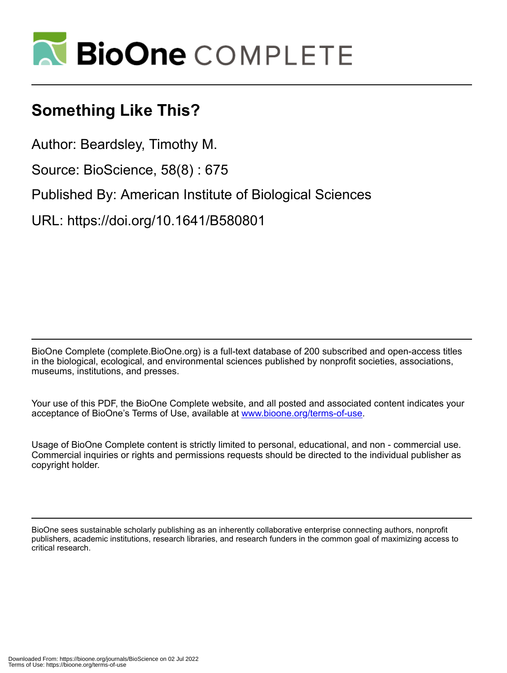

## **Something Like This?**

Author: Beardsley, Timothy M.

Source: BioScience, 58(8) : 675

Published By: American Institute of Biological Sciences

URL: https://doi.org/10.1641/B580801

BioOne Complete (complete.BioOne.org) is a full-text database of 200 subscribed and open-access titles in the biological, ecological, and environmental sciences published by nonprofit societies, associations, museums, institutions, and presses.

Your use of this PDF, the BioOne Complete website, and all posted and associated content indicates your acceptance of BioOne's Terms of Use, available at www.bioone.org/terms-of-use.

Usage of BioOne Complete content is strictly limited to personal, educational, and non - commercial use. Commercial inquiries or rights and permissions requests should be directed to the individual publisher as copyright holder.

BioOne sees sustainable scholarly publishing as an inherently collaborative enterprise connecting authors, nonprofit publishers, academic institutions, research libraries, and research funders in the common goal of maximizing access to critical research.